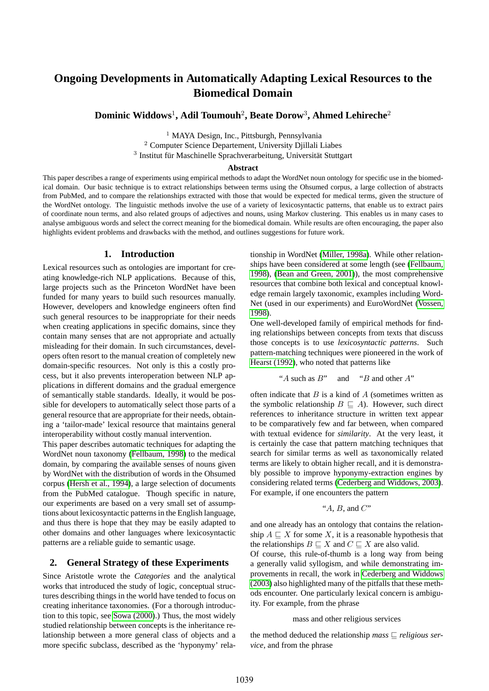# **Ongoing Developments in Automatically Adapting Lexical Resources to the Biomedical Domain**

## **Dominic Widdows**<sup>1</sup> **, Adil Toumouh**<sup>2</sup> **, Beate Dorow**<sup>3</sup> **, Ahmed Lehireche**<sup>2</sup>

<sup>1</sup> MAYA Design, Inc., Pittsburgh, Pennsylvania <sup>2</sup> Computer Science Departement, University Djillali Liabes  $3$  Institut für Maschinelle Sprachverarbeitung, Universität Stuttgart

#### **Abstract**

This paper describes a range of experiments using empirical methods to adapt the WordNet noun ontology for specific use in the biomedical domain. Our basic technique is to extract relationships between terms using the Ohsumed corpus, a large collection of abstracts from PubMed, and to compare the relationships extracted with those that would be expected for medical terms, given the structure of the WordNet ontology. The linguistic methods involve the use of a variety of lexicosyntactic patterns, that enable us to extract pairs of coordinate noun terms, and also related groups of adjectives and nouns, using Markov clustering. This enables us in many cases to analyse ambiguous words and select the correct meaning for the biomedical domain. While results are often encouraging, the paper also highlights evident problems and drawbacks with the method, and outlines suggestions for future work.

#### **1. Introduction**

Lexical resources such as ontologies are important for creating knowledge-rich NLP applications. Because of this, large projects such as the Princeton WordNet have been funded for many years to build such resources manually. However, developers and knowledge engineers often find such general resources to be inappropriate for their needs when creating applications in specific domains, since they contain many senses that are not appropriate and actually misleading for their domain. In such circumstances, developers often resort to the manual creation of completely new domain-specific resources. Not only is this a costly process, but it also prevents interoperation between NLP applications in different domains and the gradual emergence of semantically stable standards. Ideally, it would be possible for developers to automatically select those parts of a general resource that are appropriate for their needs, obtaining a 'tailor-made' lexical resource that maintains general interoperability without costly manual intervention.

This paper describes automatic techniques for adapting the WordNet noun taxonomy [\(Fellbaum, 1998\)](#page-5-0) to the medical domain, by comparing the available senses of nouns given by WordNet with the distribution of words in the Ohsumed corpus [\(Hersh et al., 1994\)](#page-5-1), a large selection of documents from the PubMed catalogue. Though specific in nature, our experiments are based on a very small set of assumptions about lexicosyntactic patterns in the English language, and thus there is hope that they may be easily adapted to other domains and other languages where lexicosyntactic patterns are a reliable guide to semantic usage.

#### **2. General Strategy of these Experiments**

Since Aristotle wrote the *Categories* and the analytical works that introduced the study of logic, conceptual structures describing things in the world have tended to focus on creating inheritance taxonomies. (For a thorough introduction to this topic, see [Sowa \(2000\)](#page-5-2).) Thus, the most widely studied relationship between concepts is the inheritance relationship between a more general class of objects and a more specific subclass, described as the 'hyponymy' relationship in WordNet [\(Miller, 1998a\)](#page-5-3). While other relationships have been considered at some length (see [\(Fellbaum,](#page-5-0) [1998\)](#page-5-0), [\(Bean and Green, 2001\)](#page-5-4)), the most comprehensive resources that combine both lexical and conceptual knowledge remain largely taxonomic, examples including Word-Net (used in our experiments) and EuroWordNet [\(Vossen,](#page-5-5) [1998\)](#page-5-5).

One well-developed family of empirical methods for finding relationships between concepts from texts that discuss those concepts is to use *lexicosyntactic patterns*. Such pattern-matching techniques were pioneered in the work of [Hearst \(1992\)](#page-5-6), who noted that patterns like

$$
"A such as B" \quad \text{and} \quad "B and other A"
$$

often indicate that  $B$  is a kind of  $A$  (sometimes written as the symbolic relationship  $B \sqsubset A$ ). However, such direct references to inheritance structure in written text appear to be comparatively few and far between, when compared with textual evidence for *similarity*. At the very least, it is certainly the case that pattern matching techniques that search for similar terms as well as taxonomically related terms are likely to obtain higher recall, and it is demonstrably possible to improve hyponymy-extraction engines by considering related terms [\(Cederberg and Widdows, 2003\)](#page-5-7). For example, if one encounters the pattern

$$
A, B, A
$$
 and  $C$ 

and one already has an ontology that contains the relationship  $A \subseteq X$  for some X, it is a reasonable hypothesis that the relationships  $B \sqsubseteq X$  and  $C \sqsubseteq X$  are also valid.

Of course, this rule-of-thumb is a long way from being a generally valid syllogism, and while demonstrating improvements in recall, the work in [Cederberg and Widdows](#page-5-7) [\(2003\)](#page-5-7) also highlighted many of the pitfalls that these methods encounter. One particularly lexical concern is ambiguity. For example, from the phrase

#### mass and other religious services

the method deduced the relationship *mass*  $\Box$  *religious service*, and from the phrase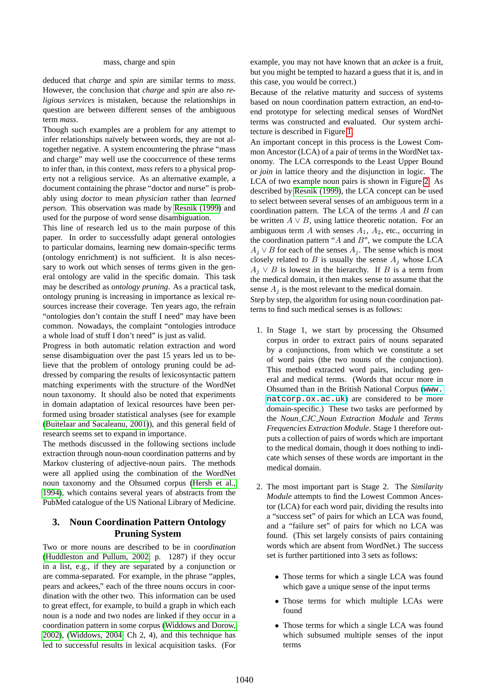#### mass, charge and spin

deduced that *charge* and *spin* are similar terms to *mass*. However, the conclusion that *charge* and *spin* are also *religious services* is mistaken, because the relationships in question are between different senses of the ambiguous term *mass*.

Though such examples are a problem for any attempt to infer relationships naïvely between words, they are not altogether negative. A system encountering the phrase "mass and charge" may well use the cooccurrence of these terms to infer than, in this context, *mass* refers to a physical property not a religious service. As an alternative example, a document containing the phrase "doctor and nurse" is probably using *doctor* to mean *physician* rather than *learned person*. This observation was made by [Resnik \(1999\)](#page-5-8) and used for the purpose of word sense disambiguation.

This line of research led us to the main purpose of this paper. In order to successfully adapt general ontologies to particular domains, learning new domain-specific terms (ontology enrichment) is not sufficient. It is also necessary to work out which senses of terms given in the general ontology are valid in the specific domain. This task may be described as *ontology pruning*. As a practical task, ontology pruning is increasing in importance as lexical resources increase their coverage. Ten years ago, the refrain "ontologies don't contain the stuff I need" may have been common. Nowadays, the complaint "ontologies introduce a whole load of stuff I don't need" is just as valid.

Progress in both automatic relation extraction and word sense disambiguation over the past 15 years led us to believe that the problem of ontology pruning could be addressed by comparing the results of lexicosyntactic pattern matching experiments with the structure of the WordNet noun taxonomy. It should also be noted that experiments in domain adaptation of lexical resources have been performed using broader statistical analyses (see for example [\(Buitelaar and Sacaleanu, 2001\)](#page-5-9)), and this general field of research seems set to expand in importance.

The methods discussed in the following sections include extraction through noun-noun coordination patterns and by Markov clustering of adjective-noun pairs. The methods were all applied using the combination of the WordNet noun taxonomy and the Ohsumed corpus [\(Hersh et al.,](#page-5-1) [1994\)](#page-5-1), which contains several years of abstracts from the PubMed catalogue of the US National Library of Medicine.

## **3. Noun Coordination Pattern Ontology Pruning System**

Two or more nouns are described to be in *coordination* [\(Huddleston and Pullum, 2002,](#page-5-10) p. 1287) if they occur in a list, e.g., if they are separated by a conjunction or are comma-separated. For example, in the phrase "apples, pears and ackees," each of the three nouns occurs in coordination with the other two. This information can be used to great effect, for example, to build a graph in which each noun is a node and two nodes are linked if they occur in a coordination pattern in some corpus [\(Widdows and Dorow,](#page-5-11) [2002\)](#page-5-11), [\(Widdows, 2004,](#page-5-12) Ch 2, 4), and this technique has led to successful results in lexical acquisition tasks. (For example, you may not have known that an *ackee* is a fruit, but you might be tempted to hazard a guess that it is, and in this case, you would be correct.)

Because of the relative maturity and success of systems based on noun coordination pattern extraction, an end-toend prototype for selecting medical senses of WordNet terms was constructed and evaluated. Our system architecture is described in Figure [1.](#page-2-0)

An important concept in this process is the Lowest Common Ancestor (LCA) of a pair of terms in the WordNet taxonomy. The LCA corresponds to the Least Upper Bound or *join* in lattice theory and the disjunction in logic. The LCA of two example noun pairs is shown in Figure [2.](#page-2-1) As described by [Resnik \(1999\)](#page-5-8), the LCA concept can be used to select between several senses of an ambiguous term in a coordination pattern. The LCA of the terms  $A$  and  $B$  can be written  $A \vee B$ , using lattice theoretic notation. For an ambiguous term A with senses  $A_1$ ,  $A_2$ , etc., occurring in the coordination pattern " $A$  and  $B$ ", we compute the LCA  $A_j \vee B$  for each of the senses  $A_j$ . The sense which is most closely related to  $B$  is usually the sense  $A_j$  whose LCA  $A_j \vee B$  is lowest in the hierarchy. If B is a term from the medical domain, it then makes sense to assume that the sense  $A_j$  is the most relevant to the medical domain.

Step by step, the algorithm for using noun coordination patterns to find such medical senses is as follows:

- 1. In Stage 1, we start by processing the Ohsumed corpus in order to extract pairs of nouns separated by a conjunctions, from which we constitute a set of word pairs (the two nouns of the conjunction). This method extracted word pairs, including general and medical terms. (Words that occur more in Ohsumed than in the British National Corpus ([www.](www.natcorp.ox.ac.uk) [natcorp.ox.ac.uk](www.natcorp.ox.ac.uk)) are considered to be more domain-specific.) These two tasks are performed by the *Noun CJC Noun Extraction Module* and *Terms Frequencies Extraction Module*. Stage 1 therefore outputs a collection of pairs of words which are important to the medical domain, though it does nothing to indicate which senses of these words are important in the medical domain.
- 2. The most important part is Stage 2. The *Similarity Module* attempts to find the Lowest Common Ancestor (LCA) for each word pair, dividing the results into a "success set" of pairs for which an LCA was found, and a "failure set" of pairs for which no LCA was found. (This set largely consists of pairs containing words which are absent from WordNet.) The success set is further partitioned into 3 sets as follows:
	- Those terms for which a single LCA was found which gave a unique sense of the input terms
	- Those terms for which multiple LCAs were found
	- Those terms for which a single LCA was found which subsumed multiple senses of the input terms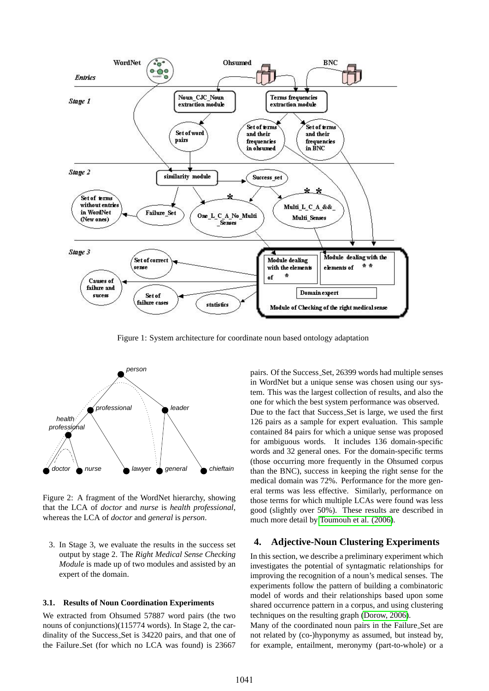

<span id="page-2-0"></span>Figure 1: System architecture for coordinate noun based ontology adaptation



<span id="page-2-1"></span>Figure 2: A fragment of the WordNet hierarchy, showing that the LCA of *doctor* and *nurse* is *health professional*, whereas the LCA of *doctor* and *general* is *person*.

3. In Stage 3, we evaluate the results in the success set output by stage 2. The *Right Medical Sense Checking Module* is made up of two modules and assisted by an expert of the domain.

#### **3.1. Results of Noun Coordination Experiments**

We extracted from Ohsumed 57887 word pairs (the two nouns of conjunctions)(115774 words). In Stage 2, the cardinality of the Success Set is 34220 pairs, and that one of the Failure Set (for which no LCA was found) is 23667

pairs. Of the Success Set, 26399 words had multiple senses in WordNet but a unique sense was chosen using our system. This was the largest collection of results, and also the one for which the best system performance was observed. Due to the fact that Success Set is large, we used the first 126 pairs as a sample for expert evaluation. This sample contained 84 pairs for which a unique sense was proposed for ambiguous words. It includes 136 domain-specific words and 32 general ones. For the domain-specific terms (those occurring more frequently in the Ohsumed corpus than the BNC), success in keeping the right sense for the medical domain was 72%. Performance for the more general terms was less effective. Similarly, performance on those terms for which multiple LCAs were found was less good (slightly over 50%). These results are described in much more detail by [Toumouh et al. \(2006\)](#page-5-13).

#### **4. Adjective-Noun Clustering Experiments**

In this section, we describe a preliminary experiment which investigates the potential of syntagmatic relationships for improving the recognition of a noun's medical senses. The experiments follow the pattern of building a combinatoric model of words and their relationships based upon some shared occurrence pattern in a corpus, and using clustering techniques on the resulting graph [\(Dorow, 2006\)](#page-5-14).

Many of the coordinated noun pairs in the Failure Set are not related by (co-)hyponymy as assumed, but instead by, for example, entailment, meronymy (part-to-whole) or a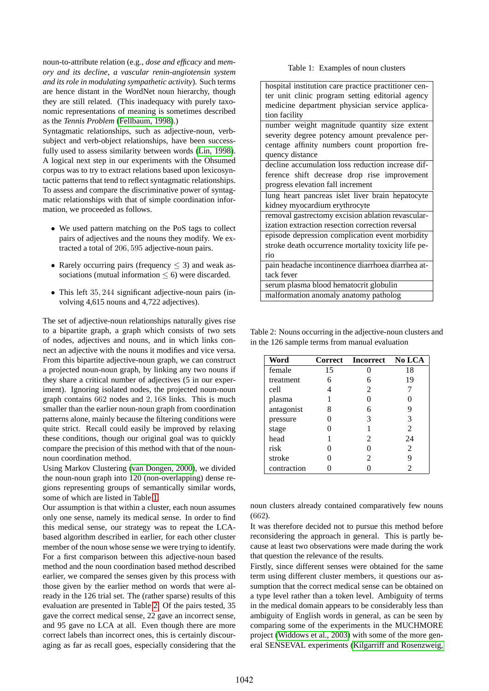noun-to-attribute relation (e.g., *dose and efficacy* and *memory and its decline*, *a vascular renin-angiotensin system and its role in modulating sympathetic activity*). Such terms are hence distant in the WordNet noun hierarchy, though they are still related. (This inadequacy with purely taxonomic representations of meaning is sometimes described as the *Tennis Problem* [\(Fellbaum, 1998\)](#page-5-0).)

Syntagmatic relationships, such as adjective-noun, verbsubject and verb-object relationships, have been successfully used to assess similarity between words [\(Lin, 1998\)](#page-5-15). A logical next step in our experiments with the Ohsumed corpus was to try to extract relations based upon lexicosyntactic patterns that tend to reflect syntagmatic relationships. To assess and compare the discriminative power of syntagmatic relationships with that of simple coordination information, we proceeded as follows.

- We used pattern matching on the PoS tags to collect pairs of adjectives and the nouns they modify. We extracted a total of 206, 595 adjective-noun pairs.
- Rarely occurring pairs (frequency  $\leq$  3) and weak associations (mutual information  $\leq 6$ ) were discarded.
- This left 35, 244 significant adjective-noun pairs (involving 4,615 nouns and 4,722 adjectives).

The set of adjective-noun relationships naturally gives rise to a bipartite graph, a graph which consists of two sets of nodes, adjectives and nouns, and in which links connect an adjective with the nouns it modifies and vice versa. From this bipartite adjective-noun graph, we can construct a projected noun-noun graph, by linking any two nouns if they share a critical number of adjectives (5 in our experiment). Ignoring isolated nodes, the projected noun-noun graph contains 662 nodes and 2, 168 links. This is much smaller than the earlier noun-noun graph from coordination patterns alone, mainly because the filtering conditions were quite strict. Recall could easily be improved by relaxing these conditions, though our original goal was to quickly compare the precision of this method with that of the nounnoun coordination method.

Using Markov Clustering [\(van Dongen, 2000\)](#page-5-16), we divided the noun-noun graph into 120 (non-overlapping) dense regions representing groups of semantically similar words, some of which are listed in Table [1.](#page-3-0)

Our assumption is that within a cluster, each noun assumes only one sense, namely its medical sense. In order to find this medical sense, our strategy was to repeat the LCAbased algorithm described in earlier, for each other cluster member of the noun whose sense we were trying to identify. For a first comparison between this adjective-noun based method and the noun coordination based method described earlier, we compared the senses given by this process with those given by the earlier method on words that were already in the 126 trial set. The (rather sparse) results of this evaluation are presented in Table [2.](#page-3-1) Of the pairs tested, 35 gave the correct medical sense, 22 gave an incorrect sense, and 95 gave no LCA at all. Even though there are more correct labels than incorrect ones, this is certainly discouraging as far as recall goes, especially considering that the

<span id="page-3-0"></span>

| Table 1: Examples of noun clusters |  |  |  |  |
|------------------------------------|--|--|--|--|
|------------------------------------|--|--|--|--|

| hospital institution care practice practitioner cen- |  |  |  |  |
|------------------------------------------------------|--|--|--|--|
| ter unit clinic program setting editorial agency     |  |  |  |  |
| medicine department physician service applica-       |  |  |  |  |
| tion facility                                        |  |  |  |  |
| number weight magnitude quantity size extent         |  |  |  |  |
| severity degree potency amount prevalence per-       |  |  |  |  |
| centage affinity numbers count proportion fre-       |  |  |  |  |
| quency distance                                      |  |  |  |  |
| decline accumulation loss reduction increase dif-    |  |  |  |  |
| ference shift decrease drop rise improvement         |  |  |  |  |
| progress elevation fall increment                    |  |  |  |  |
| lung heart pancreas islet liver brain hepatocyte     |  |  |  |  |
| kidney myocardium erythrocyte                        |  |  |  |  |
| removal gastrectomy excision ablation revascular-    |  |  |  |  |
| ization extraction resection correction reversal     |  |  |  |  |
| episode depression complication event morbidity      |  |  |  |  |
| stroke death occurrence mortality toxicity life pe-  |  |  |  |  |
| rio                                                  |  |  |  |  |
| pain headache incontinence diarrhoea diarrhea at-    |  |  |  |  |
| tack fever                                           |  |  |  |  |
| serum plasma blood hematocrit globulin               |  |  |  |  |
| malformation anomaly anatomy patholog                |  |  |  |  |

<span id="page-3-1"></span>Table 2: Nouns occurring in the adjective-noun clusters and in the 126 sample terms from manual evaluation

| Word        |    | Correct Incorrect No LCA |    |
|-------------|----|--------------------------|----|
| female      | 15 |                          | 18 |
| treatment   | 6  | 6                        | 19 |
| cell        |    | 2                        |    |
| plasma      |    |                          |    |
| antagonist  | 8  | 6                        | 9  |
| pressure    |    | 3                        | 3  |
| stage       |    |                          | 2  |
| head        |    | 2                        | 24 |
| risk        |    |                          | 2  |
| stroke      |    | 2                        | 9  |
| contraction |    |                          |    |

noun clusters already contained comparatively few nouns (662).

It was therefore decided not to pursue this method before reconsidering the approach in general. This is partly because at least two observations were made during the work that question the relevance of the results.

Firstly, since different senses were obtained for the same term using different cluster members, it questions our assumption that the correct medical sense can be obtained on a type level rather than a token level. Ambiguity of terms in the medical domain appears to be considerably less than ambiguity of English words in general, as can be seen by comparing some of the experiments in the MUCHMORE project [\(Widdows et al., 2003\)](#page-5-17) with some of the more general SENSEVAL experiments [\(Kilgarriff and Rosenzweig,](#page-5-18)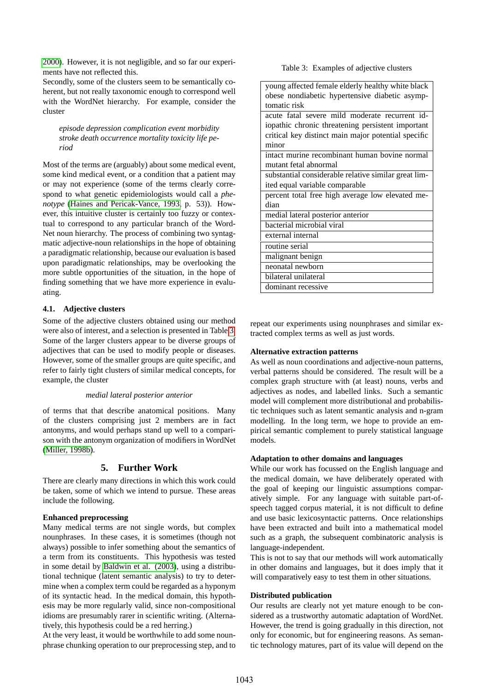[2000\)](#page-5-18). However, it is not negligible, and so far our experiments have not reflected this.

Secondly, some of the clusters seem to be semantically coherent, but not really taxonomic enough to correspond well with the WordNet hierarchy. For example, consider the cluster

*episode depression complication event morbidity stroke death occurrence mortality toxicity life period*

Most of the terms are (arguably) about some medical event, some kind medical event, or a condition that a patient may or may not experience (some of the terms clearly correspond to what genetic epidemiologists would call a *phenotype* [\(Haines and Pericak-Vance, 1993,](#page-5-19) p. 53)). However, this intuitive cluster is certainly too fuzzy or contextual to correspond to any particular branch of the Word-Net noun hierarchy. The process of combining two syntagmatic adjective-noun relationships in the hope of obtaining a paradigmatic relationship, because our evaluation is based upon paradigmatic relationships, may be overlooking the more subtle opportunities of the situation, in the hope of finding something that we have more experience in evaluating.

## **4.1. Adjective clusters**

Some of the adjective clusters obtained using our method were also of interest, and a selection is presented in Table [3.](#page-4-0) Some of the larger clusters appear to be diverse groups of adjectives that can be used to modify people or diseases. However, some of the smaller groups are quite specific, and refer to fairly tight clusters of similar medical concepts, for example, the cluster

## *medial lateral posterior anterior*

of terms that that describe anatomical positions. Many of the clusters comprising just 2 members are in fact antonyms, and would perhaps stand up well to a comparison with the antonym organization of modifiers in WordNet [\(Miller, 1998b\)](#page-5-20).

## **5. Further Work**

There are clearly many directions in which this work could be taken, some of which we intend to pursue. These areas include the following.

## **Enhanced preprocessing**

Many medical terms are not single words, but complex nounphrases. In these cases, it is sometimes (though not always) possible to infer something about the semantics of a term from its constituents. This hypothesis was tested in some detail by [Baldwin et al. \(2003\)](#page-5-21), using a distributional technique (latent semantic analysis) to try to determine when a complex term could be regarded as a hyponym of its syntactic head. In the medical domain, this hypothesis may be more regularly valid, since non-compositional idioms are presumably rarer in scientific writing. (Alternatively, this hypothesis could be a red herring.)

At the very least, it would be worthwhile to add some nounphrase chunking operation to our preprocessing step, and to <span id="page-4-0"></span>Table 3: Examples of adjective clusters

| young affected female elderly healthy white black    |  |  |  |  |
|------------------------------------------------------|--|--|--|--|
| obese nondiabetic hypertensive diabetic asymp-       |  |  |  |  |
| tomatic risk                                         |  |  |  |  |
| acute fatal severe mild moderate recurrent id-       |  |  |  |  |
| iopathic chronic threatening persistent important    |  |  |  |  |
| critical key distinct main major potential specific  |  |  |  |  |
| minor                                                |  |  |  |  |
| intact murine recombinant human bovine normal        |  |  |  |  |
| mutant fetal abnormal                                |  |  |  |  |
| substantial considerable relative similar great lim- |  |  |  |  |
| ited equal variable comparable                       |  |  |  |  |
| percent total free high average low elevated me-     |  |  |  |  |
| dian                                                 |  |  |  |  |
| medial lateral posterior anterior                    |  |  |  |  |
| bacterial microbial viral                            |  |  |  |  |
| external internal                                    |  |  |  |  |
| routine serial                                       |  |  |  |  |
| malignant benign                                     |  |  |  |  |
| neonatal newborn                                     |  |  |  |  |
| bilateral unilateral                                 |  |  |  |  |
| dominant recessive                                   |  |  |  |  |

repeat our experiments using nounphrases and similar extracted complex terms as well as just words.

## **Alternative extraction patterns**

As well as noun coordinations and adjective-noun patterns, verbal patterns should be considered. The result will be a complex graph structure with (at least) nouns, verbs and adjectives as nodes, and labelled links. Such a semantic model will complement more distributional and probabilistic techniques such as latent semantic analysis and n-gram modelling. In the long term, we hope to provide an empirical semantic complement to purely statistical language models.

## **Adaptation to other domains and languages**

While our work has focussed on the English language and the medical domain, we have deliberately operated with the goal of keeping our linguistic assumptions comparatively simple. For any language with suitable part-ofspeech tagged corpus material, it is not difficult to define and use basic lexicosyntactic patterns. Once relationships have been extracted and built into a mathematical model such as a graph, the subsequent combinatoric analysis is language-independent.

This is not to say that our methods will work automatically in other domains and languages, but it does imply that it will comparatively easy to test them in other situations.

## **Distributed publication**

Our results are clearly not yet mature enough to be considered as a trustworthy automatic adaptation of WordNet. However, the trend is going gradually in this direction, not only for economic, but for engineering reasons. As semantic technology matures, part of its value will depend on the